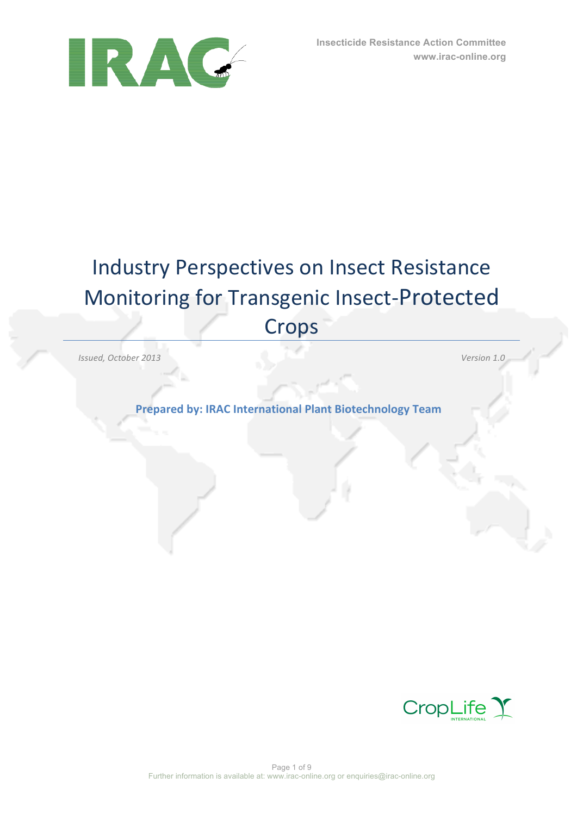

# Industry Perspectives on Insect Resistance Monitoring for Transgenic Insect-Protected Crops

*Issued, October 2013 Version 1.0*

**Prepared by: IRAC International Plant Biotechnology Team** 

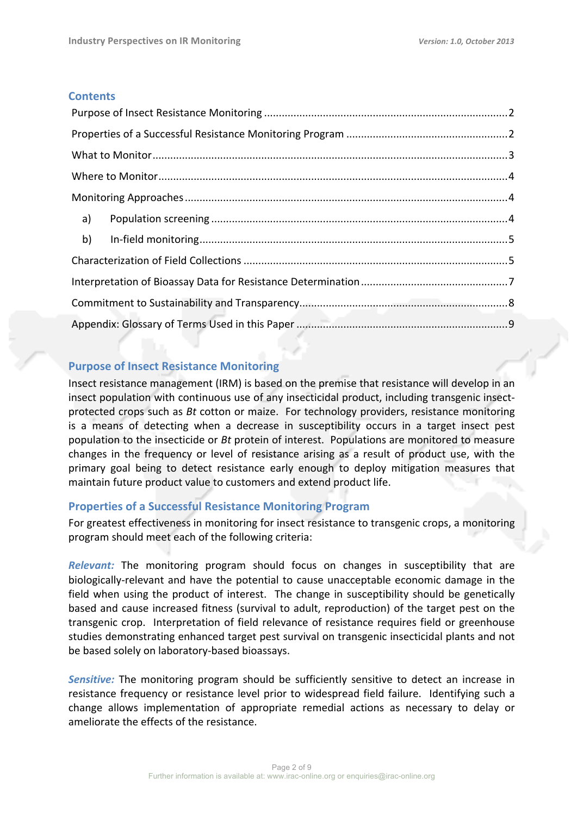## **Contents**

## **Purpose of Insect Resistance Monitoring**

Insect resistance management (IRM) is based on the premise that resistance will develop in an insect population with continuous use of any insecticidal product, including transgenic insectprotected crops such as *Bt* cotton or maize. For technology providers, resistance monitoring is a means of detecting when a decrease in susceptibility occurs in a target insect pest population to the insecticide or *Bt* protein of interest. Populations are monitored to measure changes in the frequency or level of resistance arising as a result of product use, with the primary goal being to detect resistance early enough to deploy mitigation measures that maintain future product value to customers and extend product life.

## **Properties of a Successful Resistance Monitoring Program**

For greatest effectiveness in monitoring for insect resistance to transgenic crops, a monitoring program should meet each of the following criteria:

*Relevant:* The monitoring program should focus on changes in susceptibility that are biologically-relevant and have the potential to cause unacceptable economic damage in the field when using the product of interest. The change in susceptibility should be genetically based and cause increased fitness (survival to adult, reproduction) of the target pest on the transgenic crop. Interpretation of field relevance of resistance requires field or greenhouse studies demonstrating enhanced target pest survival on transgenic insecticidal plants and not be based solely on laboratory-based bioassays.

**Sensitive:** The monitoring program should be sufficiently sensitive to detect an increase in resistance frequency or resistance level prior to widespread field failure. Identifying such a change allows implementation of appropriate remedial actions as necessary to delay or ameliorate the effects of the resistance.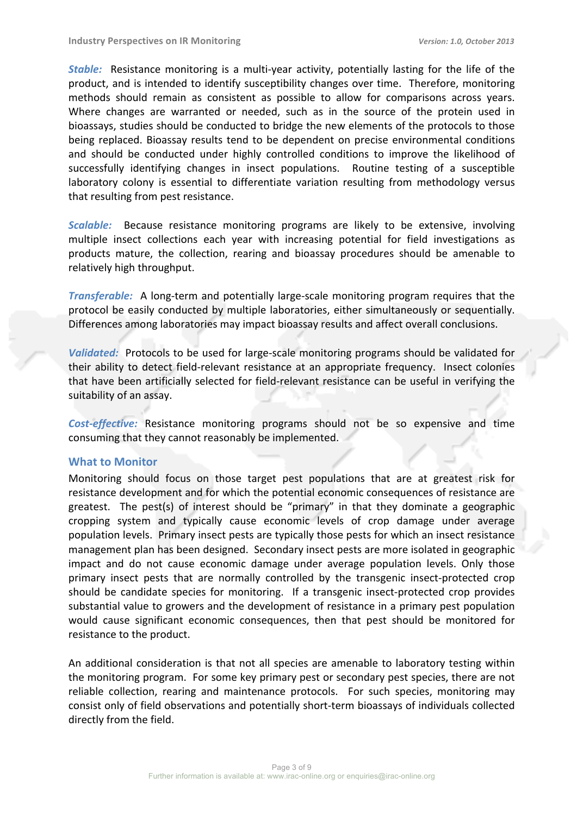*Stable:* Resistance monitoring is a multi-year activity, potentially lasting for the life of the product, and is intended to identify susceptibility changes over time. Therefore, monitoring methods should remain as consistent as possible to allow for comparisons across years. Where changes are warranted or needed, such as in the source of the protein used in bioassays, studies should be conducted to bridge the new elements of the protocols to those being replaced. Bioassay results tend to be dependent on precise environmental conditions and should be conducted under highly controlled conditions to improve the likelihood of successfully identifying changes in insect populations. Routine testing of a susceptible laboratory colony is essential to differentiate variation resulting from methodology versus that resulting from pest resistance.

*Scalable:* Because resistance monitoring programs are likely to be extensive, involving multiple insect collections each year with increasing potential for field investigations as products mature, the collection, rearing and bioassay procedures should be amenable to relatively high throughput.

*Transferable:* A long-term and potentially large-scale monitoring program requires that the protocol be easily conducted by multiple laboratories, either simultaneously or sequentially. Differences among laboratories may impact bioassay results and affect overall conclusions.

*Validated:* Protocols to be used for large-scale monitoring programs should be validated for their ability to detect field-relevant resistance at an appropriate frequency. Insect colonies that have been artificially selected for field-relevant resistance can be useful in verifying the suitability of an assay.

Cost-effective: Resistance monitoring programs should not be so expensive and time consuming that they cannot reasonably be implemented.

#### **What to Monitor**

Monitoring should focus on those target pest populations that are at greatest risk for resistance development and for which the potential economic consequences of resistance are greatest. The pest(s) of interest should be "primary" in that they dominate a geographic cropping system and typically cause economic levels of crop damage under average population levels. Primary insect pests are typically those pests for which an insect resistance management plan has been designed. Secondary insect pests are more isolated in geographic impact and do not cause economic damage under average population levels. Only those primary insect pests that are normally controlled by the transgenic insect-protected crop should be candidate species for monitoring. If a transgenic insect-protected crop provides substantial value to growers and the development of resistance in a primary pest population would cause significant economic consequences, then that pest should be monitored for resistance to the product.

An additional consideration is that not all species are amenable to laboratory testing within the monitoring program. For some key primary pest or secondary pest species, there are not reliable collection, rearing and maintenance protocols. For such species, monitoring may consist only of field observations and potentially short-term bioassays of individuals collected directly from the field.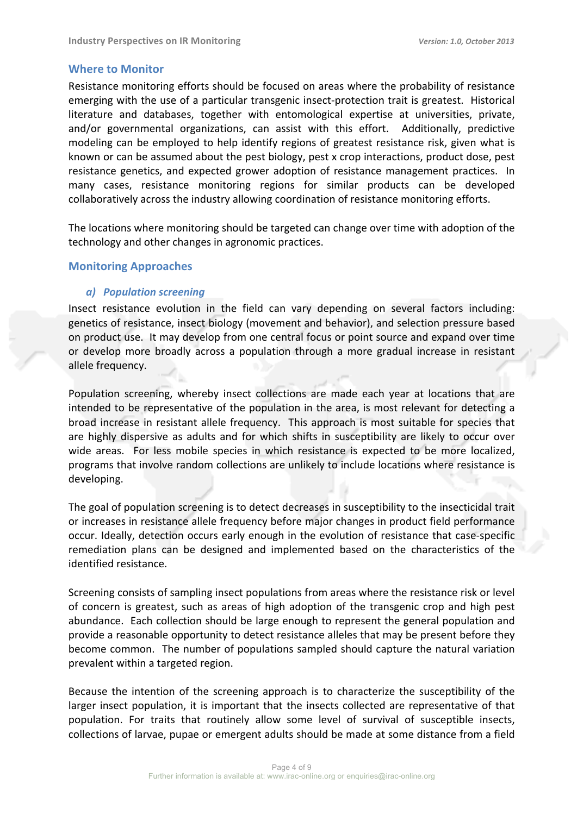## **Where to Monitor**

Resistance monitoring efforts should be focused on areas where the probability of resistance emerging with the use of a particular transgenic insect-protection trait is greatest. Historical literature and databases, together with entomological expertise at universities, private, and/or governmental organizations, can assist with this effort. Additionally, predictive modeling can be employed to help identify regions of greatest resistance risk, given what is known or can be assumed about the pest biology, pest x crop interactions, product dose, pest resistance genetics, and expected grower adoption of resistance management practices. In many cases, resistance monitoring regions for similar products can be developed collaboratively across the industry allowing coordination of resistance monitoring efforts.

The locations where monitoring should be targeted can change over time with adoption of the technology and other changes in agronomic practices.

## **Monitoring Approaches**

## *a) Population screening*

Insect resistance evolution in the field can vary depending on several factors including: genetics of resistance, insect biology (movement and behavior), and selection pressure based on product use. It may develop from one central focus or point source and expand over time or develop more broadly across a population through a more gradual increase in resistant allele frequency.

Population screening, whereby insect collections are made each year at locations that are intended to be representative of the population in the area, is most relevant for detecting a broad increase in resistant allele frequency. This approach is most suitable for species that are highly dispersive as adults and for which shifts in susceptibility are likely to occur over wide areas. For less mobile species in which resistance is expected to be more localized, programs that involve random collections are unlikely to include locations where resistance is developing.

The goal of population screening is to detect decreases in susceptibility to the insecticidal trait or increases in resistance allele frequency before major changes in product field performance occur. Ideally, detection occurs early enough in the evolution of resistance that case-specific remediation plans can be designed and implemented based on the characteristics of the identified resistance.

Screening consists of sampling insect populations from areas where the resistance risk or level of concern is greatest, such as areas of high adoption of the transgenic crop and high pest abundance. Each collection should be large enough to represent the general population and provide a reasonable opportunity to detect resistance alleles that may be present before they become common. The number of populations sampled should capture the natural variation prevalent within a targeted region.

Because the intention of the screening approach is to characterize the susceptibility of the larger insect population, it is important that the insects collected are representative of that population. For traits that routinely allow some level of survival of susceptible insects, collections of larvae, pupae or emergent adults should be made at some distance from a field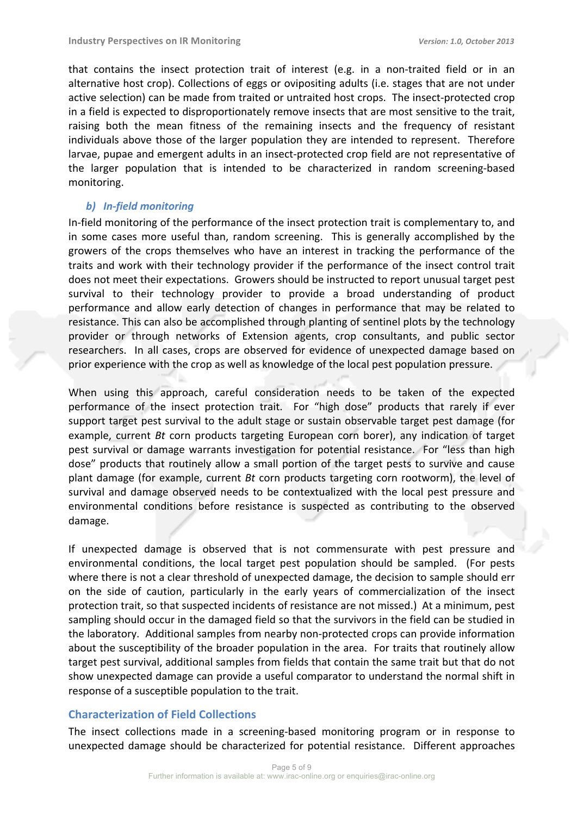that contains the insect protection trait of interest (e.g. in a non-traited field or in an alternative host crop). Collections of eggs or ovipositing adults (i.e. stages that are not under active selection) can be made from traited or untraited host crops. The insect-protected crop in a field is expected to disproportionately remove insects that are most sensitive to the trait, raising both the mean fitness of the remaining insects and the frequency of resistant individuals above those of the larger population they are intended to represent. Therefore larvae, pupae and emergent adults in an insect-protected crop field are not representative of the larger population that is intended to be characterized in random screening-based monitoring. 

#### *b) In-field monitoring*

In-field monitoring of the performance of the insect protection trait is complementary to, and in some cases more useful than, random screening. This is generally accomplished by the growers of the crops themselves who have an interest in tracking the performance of the traits and work with their technology provider if the performance of the insect control trait does not meet their expectations. Growers should be instructed to report unusual target pest survival to their technology provider to provide a broad understanding of product performance and allow early detection of changes in performance that may be related to resistance. This can also be accomplished through planting of sentinel plots by the technology provider or through networks of Extension agents, crop consultants, and public sector researchers. In all cases, crops are observed for evidence of unexpected damage based on prior experience with the crop as well as knowledge of the local pest population pressure.

When using this approach, careful consideration needs to be taken of the expected performance of the insect protection trait. For "high dose" products that rarely if ever support target pest survival to the adult stage or sustain observable target pest damage (for example, current *Bt* corn products targeting European corn borer), any indication of target pest survival or damage warrants investigation for potential resistance. For "less than high dose" products that routinely allow a small portion of the target pests to survive and cause plant damage (for example, current *Bt* corn products targeting corn rootworm), the level of survival and damage observed needs to be contextualized with the local pest pressure and environmental conditions before resistance is suspected as contributing to the observed damage. 

If unexpected damage is observed that is not commensurate with pest pressure and environmental conditions, the local target pest population should be sampled. (For pests where there is not a clear threshold of unexpected damage, the decision to sample should err on the side of caution, particularly in the early years of commercialization of the insect protection trait, so that suspected incidents of resistance are not missed.) At a minimum, pest sampling should occur in the damaged field so that the survivors in the field can be studied in the laboratory. Additional samples from nearby non-protected crops can provide information about the susceptibility of the broader population in the area. For traits that routinely allow target pest survival, additional samples from fields that contain the same trait but that do not show unexpected damage can provide a useful comparator to understand the normal shift in response of a susceptible population to the trait.

## **Characterization of Field Collections**

The insect collections made in a screening-based monitoring program or in response to unexpected damage should be characterized for potential resistance. Different approaches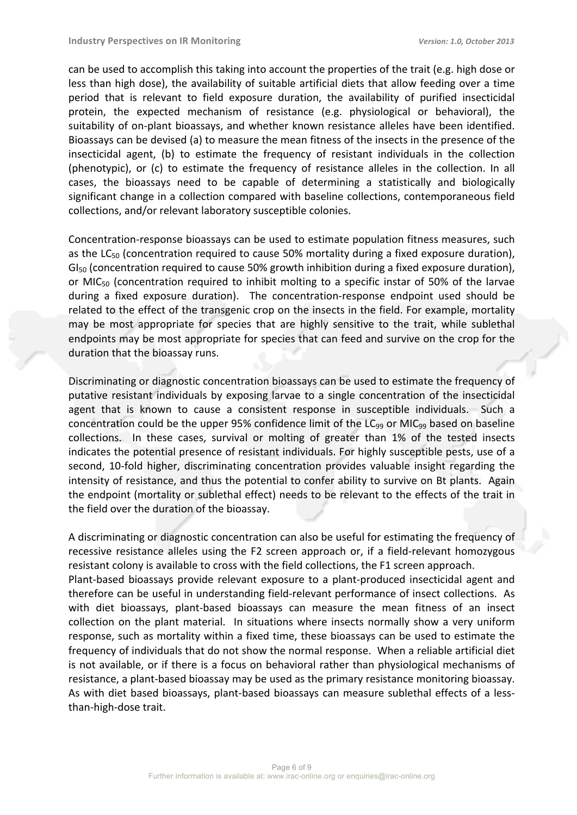can be used to accomplish this taking into account the properties of the trait (e.g. high dose or less than high dose), the availability of suitable artificial diets that allow feeding over a time period that is relevant to field exposure duration, the availability of purified insecticidal protein, the expected mechanism of resistance (e.g. physiological or behavioral), the suitability of on-plant bioassays, and whether known resistance alleles have been identified. Bioassays can be devised (a) to measure the mean fitness of the insects in the presence of the insecticidal agent, (b) to estimate the frequency of resistant individuals in the collection (phenotypic), or (c) to estimate the frequency of resistance alleles in the collection. In all cases, the bioassays need to be capable of determining a statistically and biologically significant change in a collection compared with baseline collections, contemporaneous field collections, and/or relevant laboratory susceptible colonies.

Concentration-response bioassays can be used to estimate population fitness measures, such as the LC<sub>50</sub> (concentration required to cause 50% mortality during a fixed exposure duration), GI<sub>50</sub> (concentration required to cause 50% growth inhibition during a fixed exposure duration), or MIC<sub>50</sub> (concentration required to inhibit molting to a specific instar of 50% of the larvae during a fixed exposure duration). The concentration-response endpoint used should be related to the effect of the transgenic crop on the insects in the field. For example, mortality may be most appropriate for species that are highly sensitive to the trait, while sublethal endpoints may be most appropriate for species that can feed and survive on the crop for the duration that the bioassay runs.

Discriminating or diagnostic concentration bioassays can be used to estimate the frequency of putative resistant individuals by exposing larvae to a single concentration of the insecticidal agent that is known to cause a consistent response in susceptible individuals. Such a concentration could be the upper 95% confidence limit of the  $LC_{99}$  or MIC<sub>99</sub> based on baseline collections. In these cases, survival or molting of greater than 1% of the tested insects indicates the potential presence of resistant individuals. For highly susceptible pests, use of a second, 10-fold higher, discriminating concentration provides valuable insight regarding the intensity of resistance, and thus the potential to confer ability to survive on Bt plants. Again the endpoint (mortality or sublethal effect) needs to be relevant to the effects of the trait in the field over the duration of the bioassay.

A discriminating or diagnostic concentration can also be useful for estimating the frequency of recessive resistance alleles using the F2 screen approach or, if a field-relevant homozygous resistant colony is available to cross with the field collections, the F1 screen approach. Plant-based bioassays provide relevant exposure to a plant-produced insecticidal agent and therefore can be useful in understanding field-relevant performance of insect collections. As with diet bioassays, plant-based bioassays can measure the mean fitness of an insect collection on the plant material. In situations where insects normally show a very uniform response, such as mortality within a fixed time, these bioassays can be used to estimate the frequency of individuals that do not show the normal response. When a reliable artificial diet is not available, or if there is a focus on behavioral rather than physiological mechanisms of resistance, a plant-based bioassay may be used as the primary resistance monitoring bioassay. As with diet based bioassays, plant-based bioassays can measure sublethal effects of a lessthan-high-dose trait.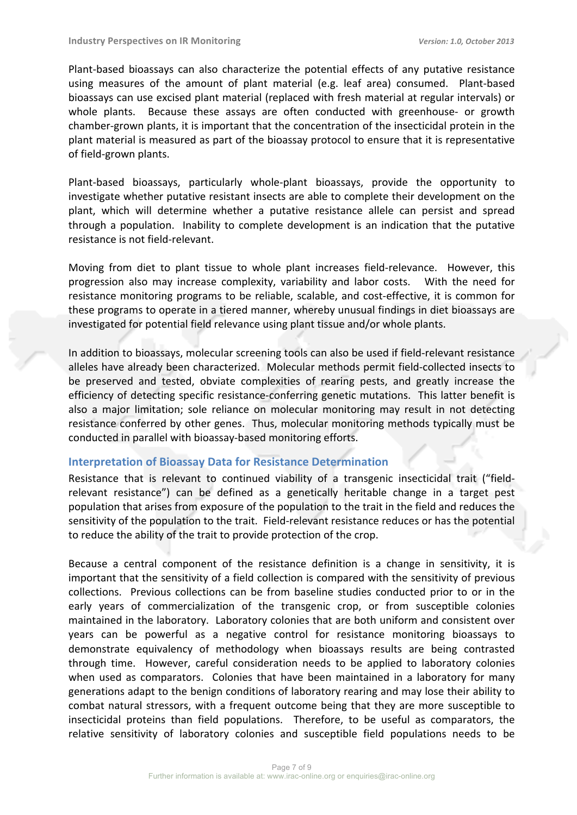Plant-based bioassays can also characterize the potential effects of any putative resistance using measures of the amount of plant material (e.g. leaf area) consumed. Plant-based bioassays can use excised plant material (replaced with fresh material at regular intervals) or whole plants. Because these assays are often conducted with greenhouse- or growth chamber-grown plants, it is important that the concentration of the insecticidal protein in the plant material is measured as part of the bioassay protocol to ensure that it is representative of field-grown plants.

Plant-based bioassays, particularly whole-plant bioassays, provide the opportunity to investigate whether putative resistant insects are able to complete their development on the plant, which will determine whether a putative resistance allele can persist and spread through a population. Inability to complete development is an indication that the putative resistance is not field-relevant.

Moving from diet to plant tissue to whole plant increases field-relevance. However, this progression also may increase complexity, variability and labor costs. With the need for resistance monitoring programs to be reliable, scalable, and cost-effective, it is common for these programs to operate in a tiered manner, whereby unusual findings in diet bioassays are investigated for potential field relevance using plant tissue and/or whole plants.

In addition to bioassays, molecular screening tools can also be used if field-relevant resistance alleles have already been characterized. Molecular methods permit field-collected insects to be preserved and tested, obviate complexities of rearing pests, and greatly increase the efficiency of detecting specific resistance-conferring genetic mutations. This latter benefit is also a major limitation; sole reliance on molecular monitoring may result in not detecting resistance conferred by other genes. Thus, molecular monitoring methods typically must be conducted in parallel with bioassay-based monitoring efforts.

#### **Interpretation of Bioassay Data for Resistance Determination**

Resistance that is relevant to continued viability of a transgenic insecticidal trait ("fieldrelevant resistance") can be defined as a genetically heritable change in a target pest population that arises from exposure of the population to the trait in the field and reduces the sensitivity of the population to the trait. Field-relevant resistance reduces or has the potential to reduce the ability of the trait to provide protection of the crop.

Because a central component of the resistance definition is a change in sensitivity, it is important that the sensitivity of a field collection is compared with the sensitivity of previous collections. Previous collections can be from baseline studies conducted prior to or in the early years of commercialization of the transgenic crop, or from susceptible colonies maintained in the laboratory. Laboratory colonies that are both uniform and consistent over years can be powerful as a negative control for resistance monitoring bioassays to demonstrate equivalency of methodology when bioassays results are being contrasted through time. However, careful consideration needs to be applied to laboratory colonies when used as comparators. Colonies that have been maintained in a laboratory for many generations adapt to the benign conditions of laboratory rearing and may lose their ability to combat natural stressors, with a frequent outcome being that they are more susceptible to insecticidal proteins than field populations. Therefore, to be useful as comparators, the relative sensitivity of laboratory colonies and susceptible field populations needs to be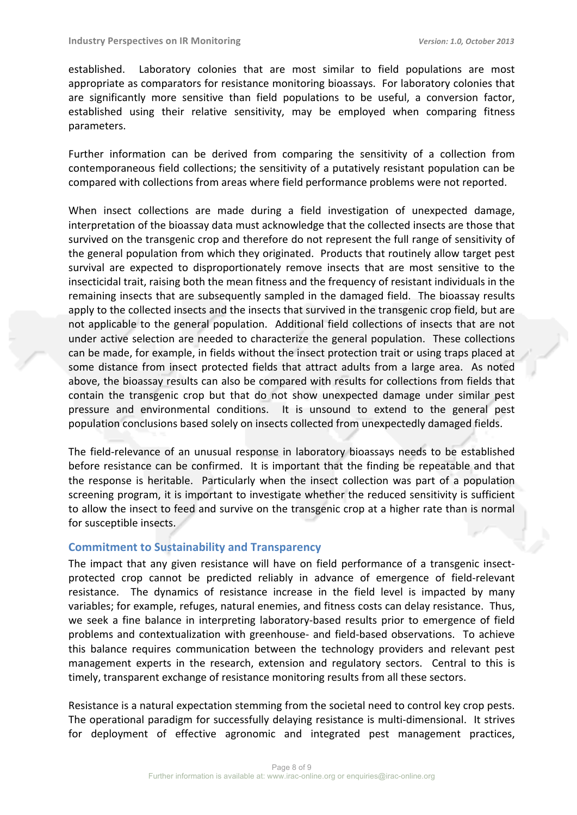established. Laboratory colonies that are most similar to field populations are most appropriate as comparators for resistance monitoring bioassays. For laboratory colonies that are significantly more sensitive than field populations to be useful, a conversion factor, established using their relative sensitivity, may be employed when comparing fitness parameters.

Further information can be derived from comparing the sensitivity of a collection from contemporaneous field collections; the sensitivity of a putatively resistant population can be compared with collections from areas where field performance problems were not reported.

When insect collections are made during a field investigation of unexpected damage, interpretation of the bioassay data must acknowledge that the collected insects are those that survived on the transgenic crop and therefore do not represent the full range of sensitivity of the general population from which they originated. Products that routinely allow target pest survival are expected to disproportionately remove insects that are most sensitive to the insecticidal trait, raising both the mean fitness and the frequency of resistant individuals in the remaining insects that are subsequently sampled in the damaged field. The bioassay results apply to the collected insects and the insects that survived in the transgenic crop field, but are not applicable to the general population. Additional field collections of insects that are not under active selection are needed to characterize the general population. These collections can be made, for example, in fields without the insect protection trait or using traps placed at some distance from insect protected fields that attract adults from a large area. As noted above, the bioassay results can also be compared with results for collections from fields that contain the transgenic crop but that do not show unexpected damage under similar pest pressure and environmental conditions. It is unsound to extend to the general pest population conclusions based solely on insects collected from unexpectedly damaged fields.

The field-relevance of an unusual response in laboratory bioassays needs to be established before resistance can be confirmed. It is important that the finding be repeatable and that the response is heritable. Particularly when the insect collection was part of a population screening program, it is important to investigate whether the reduced sensitivity is sufficient to allow the insect to feed and survive on the transgenic crop at a higher rate than is normal for susceptible insects.

## **Commitment to Sustainability and Transparency**

The impact that any given resistance will have on field performance of a transgenic insectprotected crop cannot be predicted reliably in advance of emergence of field-relevant resistance. The dynamics of resistance increase in the field level is impacted by many variables; for example, refuges, natural enemies, and fitness costs can delay resistance. Thus, we seek a fine balance in interpreting laboratory-based results prior to emergence of field problems and contextualization with greenhouse- and field-based observations. To achieve this balance requires communication between the technology providers and relevant pest management experts in the research, extension and regulatory sectors. Central to this is timely, transparent exchange of resistance monitoring results from all these sectors.

Resistance is a natural expectation stemming from the societal need to control key crop pests. The operational paradigm for successfully delaying resistance is multi-dimensional. It strives for deployment of effective agronomic and integrated pest management practices,